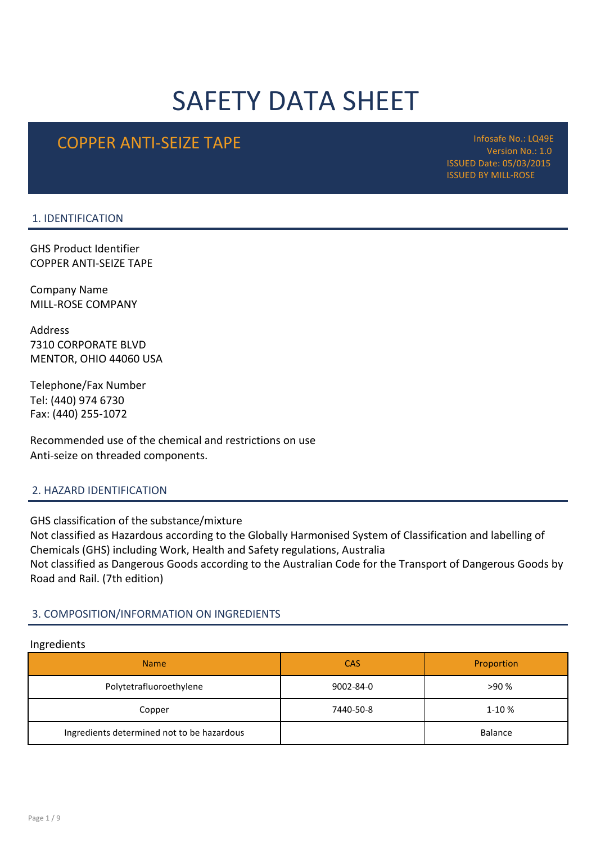# SAFETY DATA SHEET

# COPPER ANTI-SEIZE TAPE Infosafe No.: LQ49E

Version No.: 1.0 ISSUED Date: 05/03/2015 **ISSUED BY MILL-ROSE** 

# 1. IDENTIFICATION

GHS Product Identifier COPPER ANTI-SEIZE TAPE

Company Name **MILL-ROSE COMPANY** 

Address **7310 CORPORATE BLVD** MENTOR, OHIO 44060 USA

Telephone/Fax Number Tel: (440) 974 6730 Fax: (440) 255-1072

Recommended use of the chemical and restrictions on use Anti-seize on threaded components.

#### 2. HAZARD IDENTIFICATION

GHS classification of the substance/mixture

Not classified as Hazardous according to the Globally Harmonised System of Classification and labelling of Chemicals (GHS) including Work, Health and Safety regulations, Australia Not classified as Dangerous Goods according to the Australian Code for the Transport of Dangerous Goods by Road and Rail. (7th edition)

# 3. COMPOSITION/INFORMATION ON INGREDIENTS

#### Ingredients

| <b>Name</b>                                | <b>CAS</b> | Proportion     |
|--------------------------------------------|------------|----------------|
| Polytetrafluoroethylene                    | 9002-84-0  | >90%           |
| Copper                                     | 7440-50-8  | $1-10%$        |
| Ingredients determined not to be hazardous |            | <b>Balance</b> |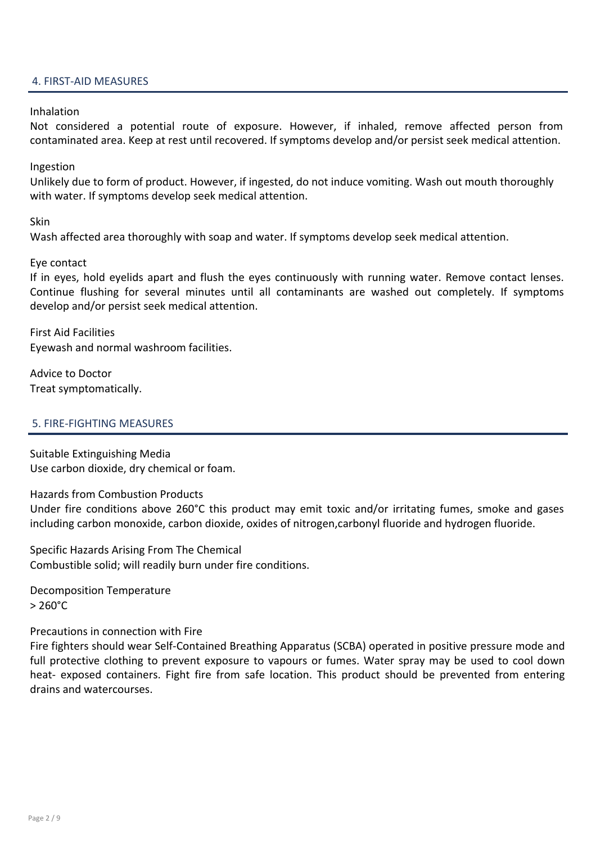#### 4. FIRST-AID MEASURES

#### Inhalation

Not considered a potential route of exposure. However, if inhaled, remove affected person from contaminated area. Keep at rest until recovered. If symptoms develop and/or persist seek medical attention.

#### Ingestion

Unlikely due to form of product. However, if ingested, do not induce vomiting. Wash out mouth thoroughly with water. If symptoms develop seek medical attention.

Skin

Wash affected area thoroughly with soap and water. If symptoms develop seek medical attention.

#### Eye contact

If in eyes, hold eyelids apart and flush the eyes continuously with running water. Remove contact lenses. Continue flushing for several minutes until all contaminants are washed out completely. If symptoms develop and/or persist seek medical attention.

First Aid Facilities Eyewash and normal washroom facilities.

Advice to Doctor Treat symptomatically.

#### **5. FIRE-FIGHTING MEASURES**

Suitable Extinguishing Media Use carbon dioxide, dry chemical or foam.

Hazards from Combustion Products

Under fire conditions above  $260^{\circ}$ C this product may emit toxic and/or irritating fumes, smoke and gases including carbon monoxide, carbon dioxide, oxides of nitrogen, carbonyl fluoride and hydrogen fluoride.

Specific Hazards Arising From The Chemical Combustible solid; will readily burn under fire conditions.

Decomposition Temperature  $> 260^{\circ}$ C

#### Precautions in connection with Fire

Fire fighters should wear Self-Contained Breathing Apparatus (SCBA) operated in positive pressure mode and full protective clothing to prevent exposure to vapours or fumes. Water spray may be used to cool down heat- exposed containers. Fight fire from safe location. This product should be prevented from entering drains and watercourses.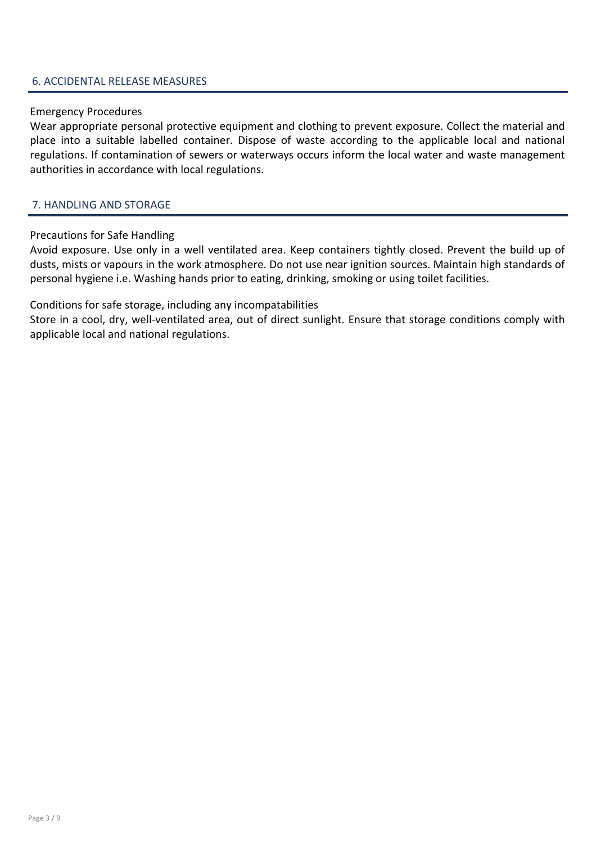#### 6. ACCIDENTAL RELEASE MEASURES

#### Emergency Procedures

Wear appropriate personal protective equipment and clothing to prevent exposure. Collect the material and place into a suitable labelled container. Dispose of waste according to the applicable local and national regulations. If contamination of sewers or waterways occurs inform the local water and waste management authorities in accordance with local regulations.

#### 7. HANDLING AND STORAGE

#### Precautions for Safe Handling

Avoid exposure. Use only in a well ventilated area. Keep containers tightly closed. Prevent the build up of dusts, mists or vapours in the work atmosphere. Do not use near ignition sources. Maintain high standards of personal hygiene i.e. Washing hands prior to eating, drinking, smoking or using toilet facilities.

Conditions for safe storage, including any incompatabilities

Store in a cool, dry, well-ventilated area, out of direct sunlight. Ensure that storage conditions comply with applicable local and national regulations.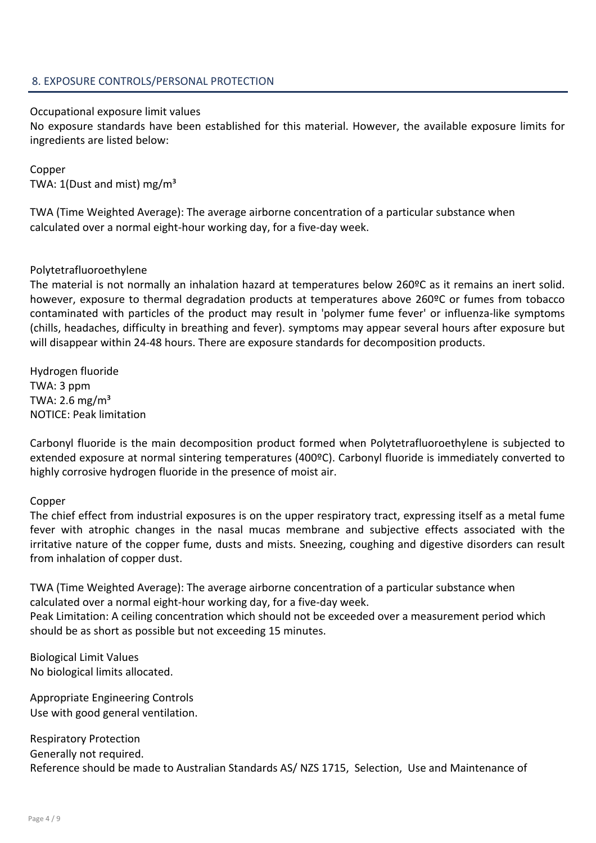#### Occupational exposure limit values

No exposure standards have been established for this material. However, the available exposure limits for ingredients are listed below:

Copper TWA:  $1$ (Dust and mist) mg/m<sup>3</sup>

TWA (Time Weighted Average): The average airborne concentration of a particular substance when calculated over a normal eight-hour working day, for a five-day week.

#### Polytetrafluoroethylene

The material is not normally an inhalation hazard at temperatures below  $260^{\circ}$ C as it remains an inert solid. however, exposure to thermal degradation products at temperatures above 260°C or fumes from tobacco contaminated with particles of the product may result in 'polymer fume fever' or influenza-like symptoms (chills, headaches, difficulty in breathing and fever). symptoms may appear several hours after exposure but will disappear within 24-48 hours. There are exposure standards for decomposition products.

Hydrogen fluoride TWA: 3 ppm TWA:  $2.6 \text{ mg/m}^3$ NOTICE: Peak limitation

Carbonyl fluoride is the main decomposition product formed when Polytetrafluoroethylene is subjected to extended exposure at normal sintering temperatures (400ºC). Carbonyl fluoride is immediately converted to highly corrosive hydrogen fluoride in the presence of moist air.

#### Copper

The chief effect from industrial exposures is on the upper respiratory tract, expressing itself as a metal fume fever with atrophic changes in the nasal mucas membrane and subjective effects associated with the irritative nature of the copper fume, dusts and mists. Sneezing, coughing and digestive disorders can result from inhalation of copper dust.

TWA (Time Weighted Average): The average airborne concentration of a particular substance when calculated over a normal eight-hour working day, for a five-day week. Peak Limitation: A ceiling concentration which should not be exceeded over a measurement period which should be as short as possible but not exceeding 15 minutes.

Biological Limit Values No biological limits allocated.

Appropriate Engineering Controls Use with good general ventilation.

Respiratory Protection Generally not required. Reference should be made to Australian Standards AS/ NZS 1715, Selection, Use and Maintenance of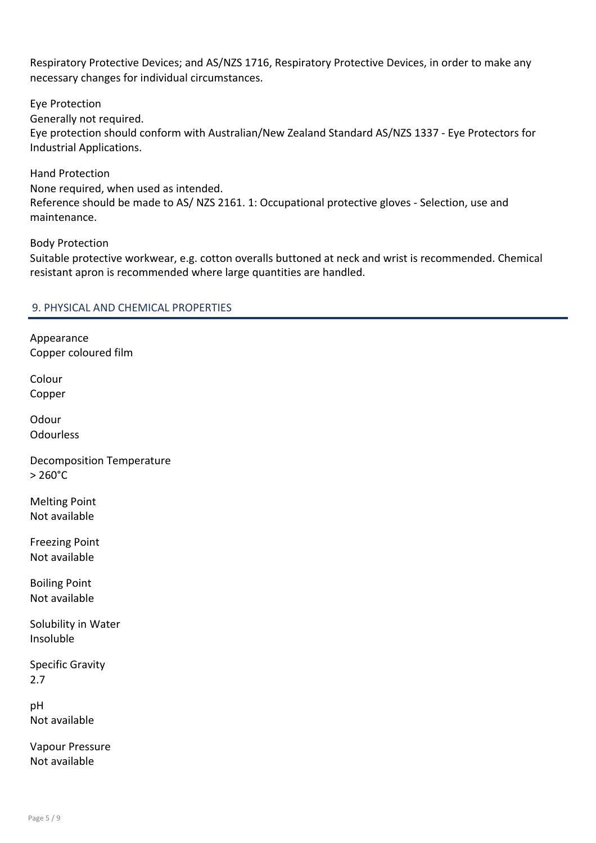Respiratory Protective Devices; and AS/NZS 1716, Respiratory Protective Devices, in order to make any necessary changes for individual circumstances.

Eye Protection Generally not required. Eye protection should conform with Australian/New Zealand Standard AS/NZS 1337 - Eye Protectors for Industrial Applications.

Hand Protection None required, when used as intended. Reference should be made to AS/ NZS 2161. 1: Occupational protective gloves - Selection, use and maintenance.

Body Protection

Suitable protective workwear, e.g. cotton overalls buttoned at neck and wrist is recommended. Chemical resistant apron is recommended where large quantities are handled.

# **9. PHYSICAL AND CHEMICAL PROPERTIES**

Appearance Copper coloured film

Colour Copper

**Odour** Odourless

Decomposition Temperature  $> 260^{\circ}$ C

**Melting Point** Not available

**Freezing Point** Not available

**Boiling Point** Not available

Solubility in Water Insoluble

Specific Gravity 2.7

pH Not available

Vapour Pressure Not available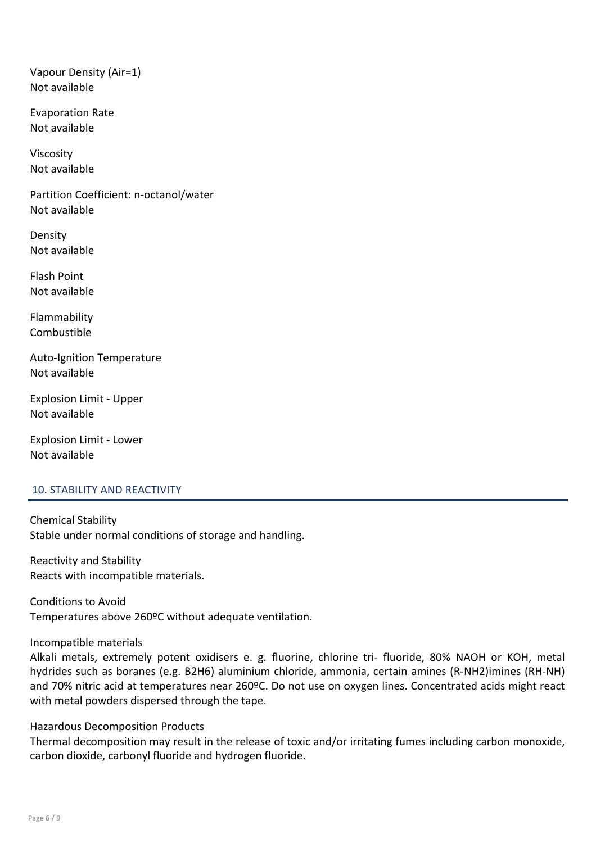Vapour Density (Air=1) Not available

Evaporation Rate Not available

Viscosity Not available

Partition Coefficient: n-octanol/water Not available

Density Not available

Flash Point Not available

Flammability Combustible

Auto-Ignition Temperature Not available

Explosion Limit - Upper Not available

Explosion Limit - Lower Not available

#### 10. STABILITY AND REACTIVITY

Chemical Stability Stable under normal conditions of storage and handling.

Reactivity and Stability Reacts with incompatible materials.

Conditions to Avoid Temperatures above 260ºC without adequate ventilation.

Incompatible materials

Alkali metals, extremely potent oxidisers e. g. fluorine, chlorine tri- fluoride, 80% NAOH or KOH, metal hydrides such as boranes (e.g. B2H6) aluminium chloride, ammonia, certain amines (R-NH2)imines (RH-NH) and 70% nitric acid at temperatures near 260ºC. Do not use on oxygen lines. Concentrated acids might react with metal powders dispersed through the tape.

Hazardous Decomposition Products

Thermal decomposition may result in the release of toxic and/or irritating fumes including carbon monoxide, carbon dioxide, carbonyl fluoride and hydrogen fluoride.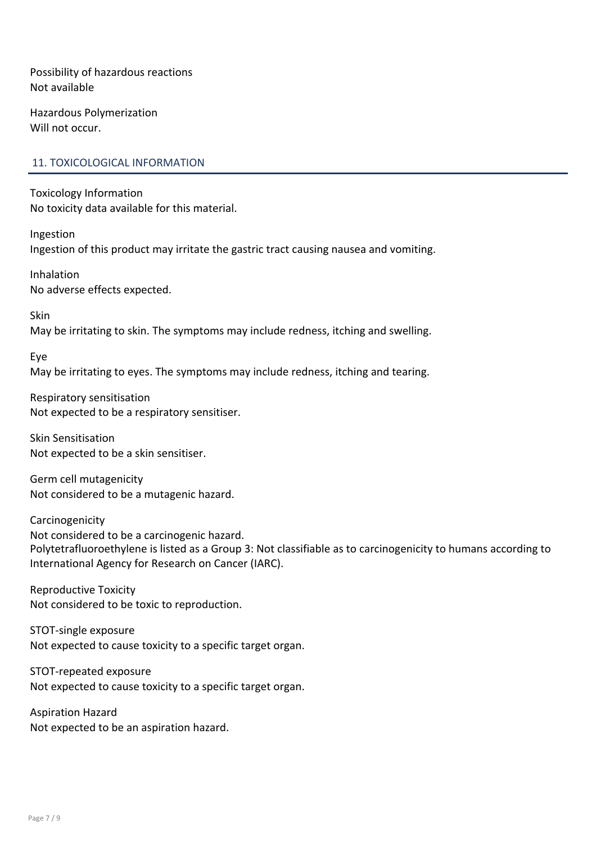Possibility of hazardous reactions Not available

Hazardous Polymerization Will not occur.

### 11. TOXICOLOGICAL INFORMATION

Toxicology Information No toxicity data available for this material.

Ingestion Ingestion of this product may irritate the gastric tract causing nausea and vomiting.

Inhalation No adverse effects expected.

Skin

May be irritating to skin. The symptoms may include redness, itching and swelling.

Eye

May be irritating to eyes. The symptoms may include redness, itching and tearing.

Respiratory sensitisation Not expected to be a respiratory sensitiser.

Skin Sensitisation Not expected to be a skin sensitiser.

Germ cell mutagenicity Not considered to be a mutagenic hazard.

Carcinogenicity Not considered to be a carcinogenic hazard. Polytetrafluoroethylene is listed as a Group 3: Not classifiable as to carcinogenicity to humans according to International Agency for Research on Cancer (IARC).

Reproductive Toxicity Not considered to be toxic to reproduction.

STOT-single exposure Not expected to cause toxicity to a specific target organ.

STOT-repeated exposure Not expected to cause toxicity to a specific target organ.

Aspiration Hazard Not expected to be an aspiration hazard.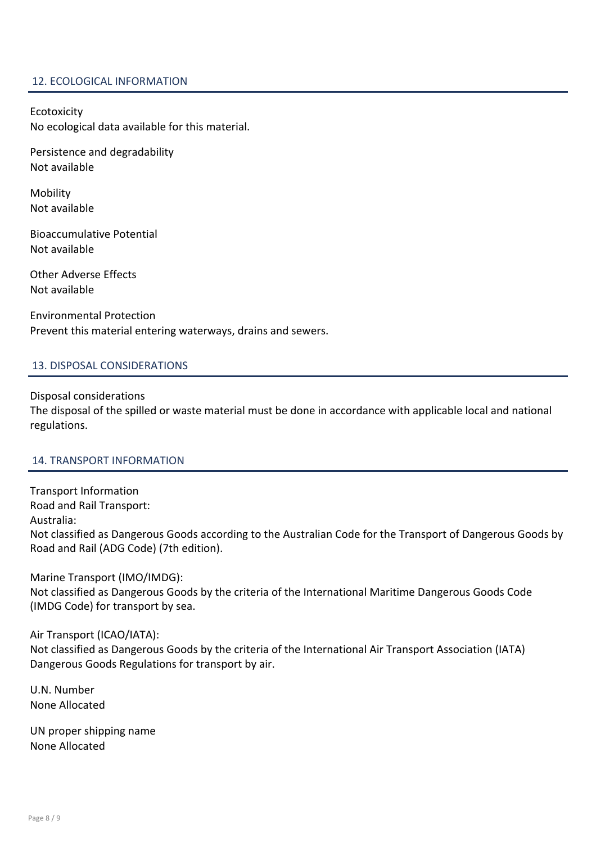#### 12. ECOLOGICAL INFORMATION

Ecotoxicity No ecological data available for this material.

Persistence and degradability Not available

Mobility Not available

Bioaccumulative Potential Not available

**Other Adverse Effects** Not available

Environmental Protection Prevent this material entering waterways, drains and sewers.

#### 13. DISPOSAL CONSIDERATIONS

#### Disposal considerations

The disposal of the spilled or waste material must be done in accordance with applicable local and national regulations.

#### 14. TRANSPORT INFORMATION

Transport Information Road and Rail Transport: Australia: Not classified as Dangerous Goods according to the Australian Code for the Transport of Dangerous Goods by Road and Rail (ADG Code) (7th edition).

Marine Transport (IMO/IMDG):

Not classified as Dangerous Goods by the criteria of the International Maritime Dangerous Goods Code (IMDG Code) for transport by sea.

#### Air Transport (ICAO/IATA):

Not classified as Dangerous Goods by the criteria of the International Air Transport Association (IATA) Dangerous Goods Regulations for transport by air.

U.N. Number None Allocated

UN proper shipping name None Allocated